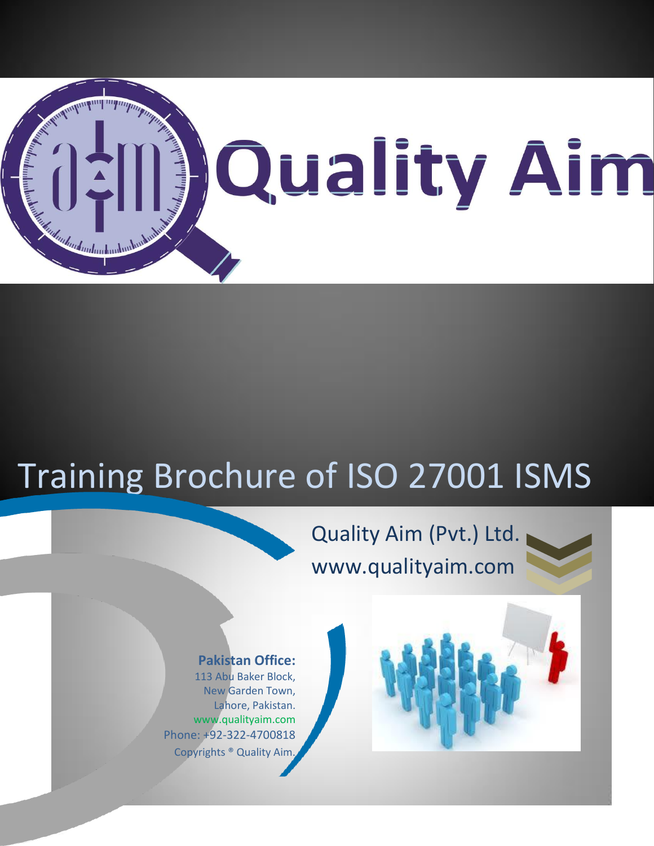

# Training Brochure of ISO 27001 ISMS

ľ

# Quality Aim (Pvt.) Ltd. www.qualityaim.com



# **Pakistan Office:**

113 Abu Baker Block, New Garden Town, Lahore, Pakistan. www.qualityaim.com Phone: +92-322-4700818 Copyrights ® Quality Aim.

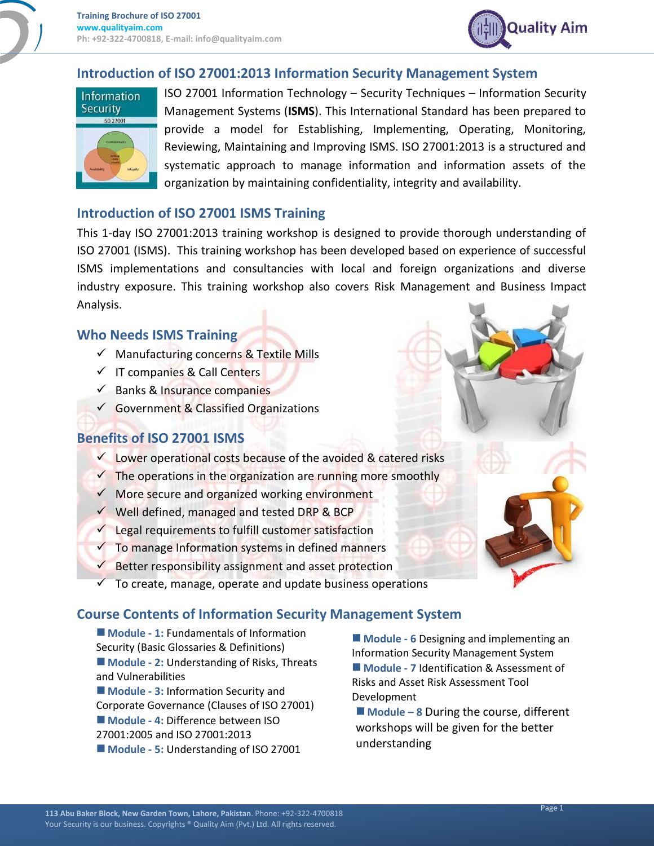

# **Introduction of ISO 27001:2013 Information Security Management System**



ISO 27001 Information Technology – Security Techniques – Information Security Management Systems (**ISMS**). This International Standard has been prepared to provide a model for Establishing, Implementing, Operating, Monitoring, Reviewing, Maintaining and Improving ISMS. ISO 27001:2013 is a structured and systematic approach to manage information and information assets of the organization by maintaining confidentiality, integrity and availability.

#### **Introduction of ISO 27001 ISMS Training**

This 1-day ISO 27001:2013 training workshop is designed to provide thorough understanding of ISO 27001 (ISMS). This training workshop has been developed based on experience of successful ISMS implementations and consultancies with local and foreign organizations and diverse industry exposure. This training workshop also covers Risk Management and Business Impact Analysis.

#### **Who Needs ISMS Training**

- $\checkmark$  Manufacturing concerns & Textile Mills
- $\checkmark$  IT companies & Call Centers
- $\checkmark$  Banks & Insurance companies
- $\checkmark$  Government & Classified Organizations

# **Benefits of ISO 27001 ISMS**

- $\checkmark$  Lower operational costs because of the avoided & catered risks
- $\checkmark$  The operations in the organization are running more smoothly
- $\checkmark$  More secure and organized working environment
- $\checkmark$  Well defined, managed and tested DRP & BCP
- $\checkmark$  Legal requirements to fulfill customer satisfaction
- $\checkmark$  To manage Information systems in defined manners
- Better responsibility assignment and asset protection
- To create, manage, operate and update business operations

#### **Course Contents of Information Security Management System**

- **Module - 1:** Fundamentals of Information Security (Basic Glossaries & Definitions) ■ **Module - 2:** Understanding of Risks, Threats and Vulnerabilities
- **Module - 3:** Information Security and Corporate Governance (Clauses of ISO 27001) **Module - 4:** Difference between ISO 27001:2005 and ISO 27001:2013 **Module - 5:** Understanding of ISO 27001

 **Module - 6** Designing and implementing an Information Security Management System **Module - 7** Identification & Assessment of Risks and Asset Risk Assessment Tool Development

 **Module – 8** During the course, different workshops will be given for the better understanding